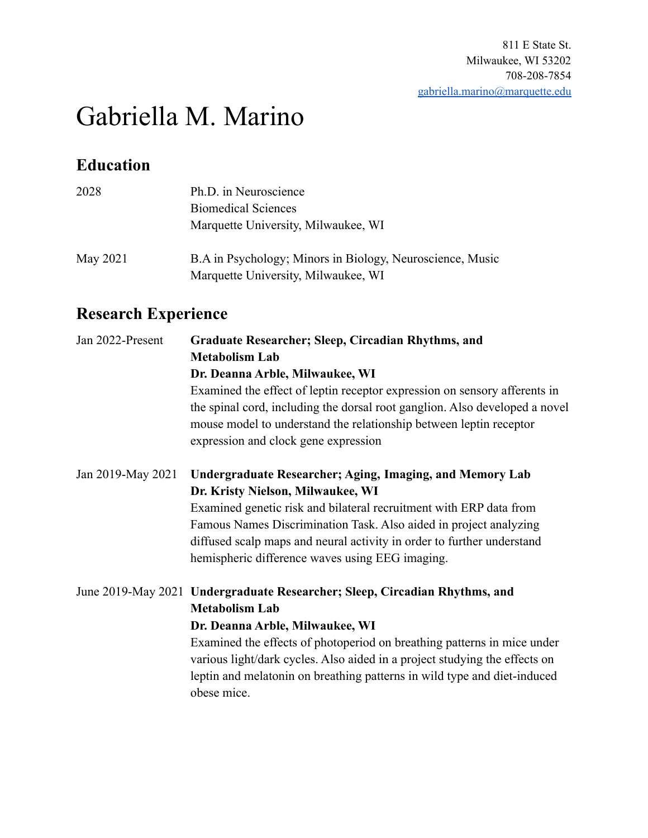# Gabriella M. Marino

## **Education**

| 2028     | Ph.D. in Neuroscience                                                                            |
|----------|--------------------------------------------------------------------------------------------------|
|          | <b>Biomedical Sciences</b>                                                                       |
|          | Marquette University, Milwaukee, WI                                                              |
| May 2021 | B.A in Psychology; Minors in Biology, Neuroscience, Music<br>Marquette University, Milwaukee, WI |

# **Research Experience**

| Jan 2022-Present  | Graduate Researcher; Sleep, Circadian Rhythms, and<br><b>Metabolism Lab</b><br>Dr. Deanna Arble, Milwaukee, WI<br>Examined the effect of leptin receptor expression on sensory afferents in<br>the spinal cord, including the dorsal root ganglion. Also developed a novel                                                                                                                 |
|-------------------|--------------------------------------------------------------------------------------------------------------------------------------------------------------------------------------------------------------------------------------------------------------------------------------------------------------------------------------------------------------------------------------------|
|                   | mouse model to understand the relationship between leptin receptor<br>expression and clock gene expression                                                                                                                                                                                                                                                                                 |
| Jan 2019-May 2021 | <b>Undergraduate Researcher; Aging, Imaging, and Memory Lab</b><br>Dr. Kristy Nielson, Milwaukee, WI<br>Examined genetic risk and bilateral recruitment with ERP data from<br>Famous Names Discrimination Task. Also aided in project analyzing<br>diffused scalp maps and neural activity in order to further understand<br>hemispheric difference waves using EEG imaging.               |
|                   | June 2019-May 2021 Undergraduate Researcher; Sleep, Circadian Rhythms, and<br><b>Metabolism Lab</b><br>Dr. Deanna Arble, Milwaukee, WI<br>Examined the effects of photoperiod on breathing patterns in mice under<br>various light/dark cycles. Also aided in a project studying the effects on<br>leptin and melatonin on breathing patterns in wild type and diet-induced<br>obese mice. |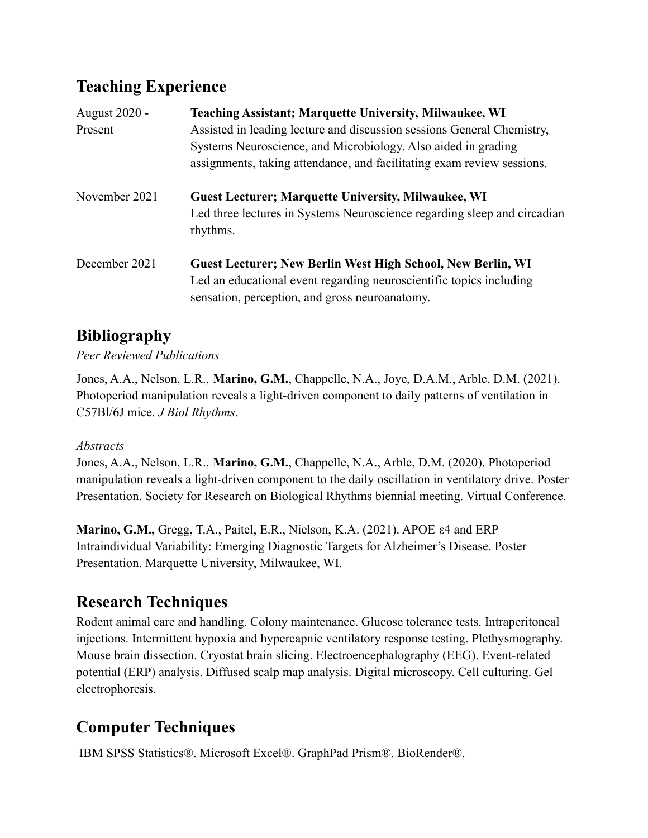# **Teaching Experience**

| <b>August 2020 -</b> | <b>Teaching Assistant; Marquette University, Milwaukee, WI</b>           |
|----------------------|--------------------------------------------------------------------------|
| Present              | Assisted in leading lecture and discussion sessions General Chemistry,   |
|                      | Systems Neuroscience, and Microbiology. Also aided in grading            |
|                      | assignments, taking attendance, and facilitating exam review sessions.   |
| November 2021        | <b>Guest Lecturer; Marquette University, Milwaukee, WI</b>               |
|                      | Led three lectures in Systems Neuroscience regarding sleep and circadian |
|                      | rhythms.                                                                 |
| December 2021        | <b>Guest Lecturer; New Berlin West High School, New Berlin, WI</b>       |
|                      | Led an educational event regarding neuroscientific topics including      |
|                      | sensation, perception, and gross neuroanatomy.                           |

# **Bibliography**

*Peer Reviewed Publications*

Jones, A.A., Nelson, L.R., **Marino, G.M.**, Chappelle, N.A., Joye, D.A.M., Arble, D.M. (2021). Photoperiod manipulation reveals a light-driven component to daily patterns of ventilation in C57Bl/6J mice. *J Biol Rhythms*.

#### *Abstracts*

Jones, A.A., Nelson, L.R., **Marino, G.M.**, Chappelle, N.A., Arble, D.M. (2020). Photoperiod manipulation reveals a light-driven component to the daily oscillation in ventilatory drive. Poster Presentation. Society for Research on Biological Rhythms biennial meeting. Virtual Conference.

**Marino, G.M.,** Gregg, T.A., Paitel, E.R., Nielson, K.A. (2021). APOE ε4 and ERP Intraindividual Variability: Emerging Diagnostic Targets for Alzheimer's Disease. Poster Presentation. Marquette University, Milwaukee, WI.

# **Research Techniques**

Rodent animal care and handling. Colony maintenance. Glucose tolerance tests. Intraperitoneal injections. Intermittent hypoxia and hypercapnic ventilatory response testing. Plethysmography. Mouse brain dissection. Cryostat brain slicing. Electroencephalography (EEG). Event-related potential (ERP) analysis. Diffused scalp map analysis. Digital microscopy. Cell culturing. Gel electrophoresis.

# **Computer Techniques**

IBM SPSS Statistics®. Microsoft Excel®. GraphPad Prism®. BioRender®.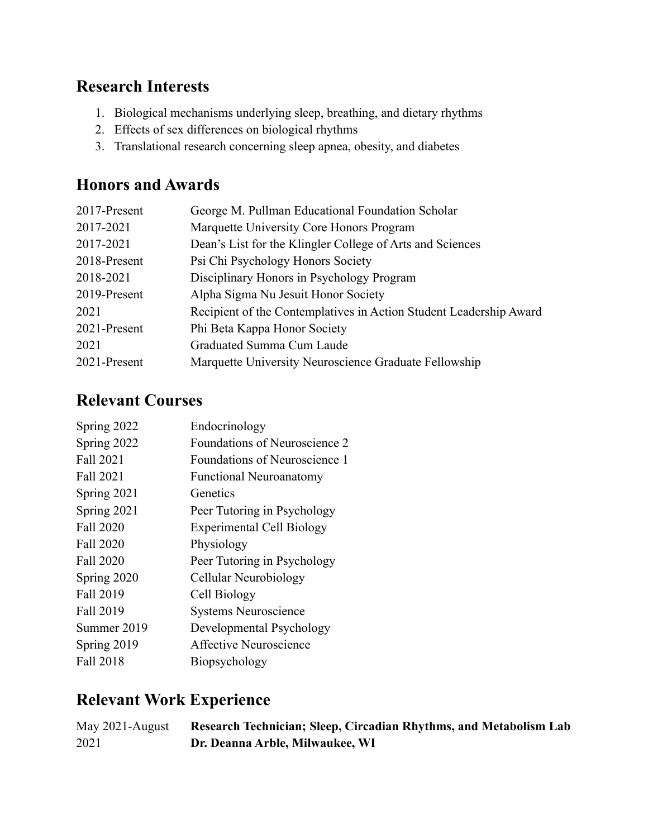#### **Research Interests**

- 1. Biological mechanisms underlying sleep, breathing, and dietary rhythms
- 2. Effects of sex differences on biological rhythms
- 3. Translational research concerning sleep apnea, obesity, and diabetes

#### **Honors and Awards**

| 2017-Present | George M. Pullman Educational Foundation Scholar                   |
|--------------|--------------------------------------------------------------------|
| 2017-2021    | Marquette University Core Honors Program                           |
| 2017-2021    | Dean's List for the Klingler College of Arts and Sciences          |
| 2018-Present | Psi Chi Psychology Honors Society                                  |
| 2018-2021    | Disciplinary Honors in Psychology Program                          |
| 2019-Present | Alpha Sigma Nu Jesuit Honor Society                                |
| 2021         | Recipient of the Contemplatives in Action Student Leadership Award |
| 2021-Present | Phi Beta Kappa Honor Society                                       |
| 2021         | Graduated Summa Cum Laude                                          |
| 2021-Present | Marquette University Neuroscience Graduate Fellowship              |

#### **Relevant Courses**

| Spring 2022 | Endocrinology                    |
|-------------|----------------------------------|
| Spring 2022 | Foundations of Neuroscience 2    |
| Fall 2021   | Foundations of Neuroscience 1    |
| Fall 2021   | <b>Functional Neuroanatomy</b>   |
| Spring 2021 | Genetics                         |
| Spring 2021 | Peer Tutoring in Psychology      |
| Fall 2020   | <b>Experimental Cell Biology</b> |
| Fall 2020   | Physiology                       |
| Fall 2020   | Peer Tutoring in Psychology      |
| Spring 2020 | Cellular Neurobiology            |
| Fall 2019   | Cell Biology                     |
| Fall 2019   | <b>Systems Neuroscience</b>      |
| Summer 2019 | Developmental Psychology         |
| Spring 2019 | Affective Neuroscience           |
| Fall 2018   | Biopsychology                    |
|             |                                  |

# **Relevant Work Experience**

| May 2021-August | Research Technician; Sleep, Circadian Rhythms, and Metabolism Lab |
|-----------------|-------------------------------------------------------------------|
| 2021            | Dr. Deanna Arble, Milwaukee, WI                                   |